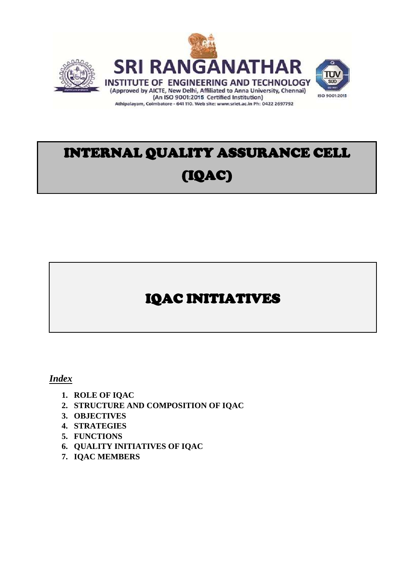



# INTERNAL QUALITY ASSURANCE CELL (IQAC)

Athipalayam, Coimbatore - 641 110. Web site: www.sriet.ac.in Ph: 0422 2697792

Ξ

## IQAC INITIATIVES

#### *Index*

- **1. ROLE OF IQAC**
- **2. STRUCTURE AND COMPOSITION OF IQAC**
- **3. OBJECTIVES**
- **4. STRATEGIES**
- **5. FUNCTIONS**
- **6. QUALITY INITIATIVES OF IQAC**
- **7. IQAC MEMBERS**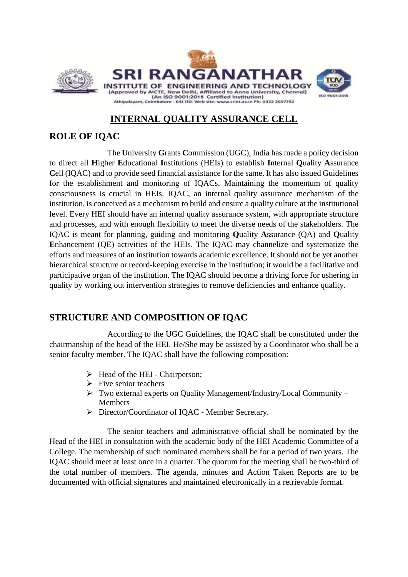

## **INTERNAL QUALITY ASSURANCE CELL**

### **ROLE OF IQAC**

The **U**niversity **G**rants **C**ommission (UGC), India has made a policy decision to direct all **H**igher **E**ducational **I**nstitutions (HEIs) to establish **I**nternal **Q**uality **A**ssurance **C**ell (IQAC) and to provide seed financial assistance for the same. It has also issued Guidelines for the establishment and monitoring of IQACs. Maintaining the momentum of quality consciousness is crucial in HEIs. IQAC, an internal quality assurance mechanism of the institution, is conceived as a mechanism to build and ensure a quality culture at the institutional level. Every HEI should have an internal quality assurance system, with appropriate structure and processes, and with enough flexibility to meet the diverse needs of the stakeholders. The IQAC is meant for planning, guiding and monitoring **Q**uality **A**ssurance (QA) and **Q**uality **E**nhancement (QE) activities of the HEIs. The IQAC may channelize and systematize the efforts and measures of an institution towards academic excellence. It should not be yet another hierarchical structure or record-keeping exercise in the institution; it would be a facilitative and participative organ of the institution. The IQAC should become a driving force for ushering in quality by working out intervention strategies to remove deficiencies and enhance quality.

## **STRUCTURE AND COMPOSITION OF IQAC**

According to the UGC Guidelines, the IQAC shall be constituted under the chairmanship of the head of the HEI. He/She may be assisted by a Coordinator who shall be a senior faculty member. The IQAC shall have the following composition:

- $\triangleright$  Head of the HEI Chairperson;
- $\triangleright$  Five senior teachers
- Two external experts on Quality Management/Industry/Local Community Members
- Director/Coordinator of IQAC Member Secretary.

The senior teachers and administrative official shall be nominated by the Head of the HEI in consultation with the academic body of the HEI Academic Committee of a College. The membership of such nominated members shall be for a period of two years. The IQAC should meet at least once in a quarter. The quorum for the meeting shall be two-third of the total number of members. The agenda, minutes and Action Taken Reports are to be documented with official signatures and maintained electronically in a retrievable format.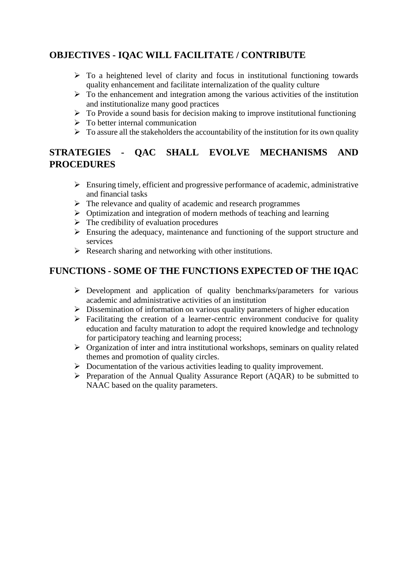## **OBJECTIVES - IQAC WILL FACILITATE / CONTRIBUTE**

- $\triangleright$  To a heightened level of clarity and focus in institutional functioning towards quality enhancement and facilitate internalization of the quality culture
- $\triangleright$  To the enhancement and integration among the various activities of the institution and institutionalize many good practices
- $\triangleright$  To Provide a sound basis for decision making to improve institutional functioning
- $\triangleright$  To better internal communication
- $\triangleright$  To assure all the stakeholders the accountability of the institution for its own quality

## **STRATEGIES - QAC SHALL EVOLVE MECHANISMS AND PROCEDURES**

- $\triangleright$  Ensuring timely, efficient and progressive performance of academic, administrative and financial tasks
- $\triangleright$  The relevance and quality of academic and research programmes
- $\triangleright$  Optimization and integration of modern methods of teaching and learning
- $\triangleright$  The credibility of evaluation procedures
- $\triangleright$  Ensuring the adequacy, maintenance and functioning of the support structure and services
- $\triangleright$  Research sharing and networking with other institutions.

## **FUNCTIONS - SOME OF THE FUNCTIONS EXPECTED OF THE IQAC**

- Development and application of quality benchmarks/parameters for various academic and administrative activities of an institution
- $\triangleright$  Dissemination of information on various quality parameters of higher education
- $\triangleright$  Facilitating the creation of a learner-centric environment conducive for quality education and faculty maturation to adopt the required knowledge and technology for participatory teaching and learning process;
- $\triangleright$  Organization of inter and intra institutional workshops, seminars on quality related themes and promotion of quality circles.
- $\triangleright$  Documentation of the various activities leading to quality improvement.
- Preparation of the Annual Quality Assurance Report (AQAR) to be submitted to NAAC based on the quality parameters.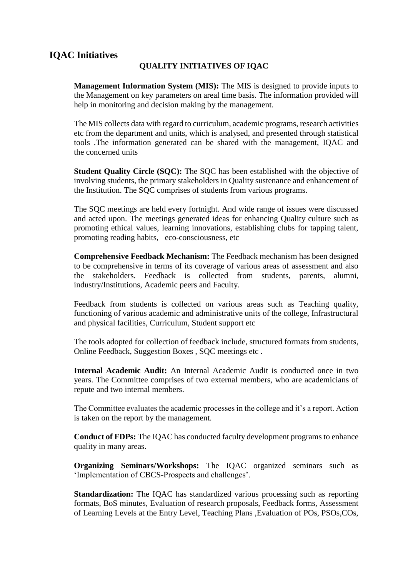### **IQAC Initiatives**

#### **QUALITY INITIATIVES OF IQAC**

**Management Information System (MIS):** The MIS is designed to provide inputs to the Management on key parameters on areal time basis. The information provided will help in monitoring and decision making by the management.

The MIS collects data with regard to curriculum, academic programs, research activities etc from the department and units, which is analysed, and presented through statistical tools .The information generated can be shared with the management, IQAC and the concerned units

**Student Quality Circle (SQC):** The SQC has been established with the objective of involving students, the primary stakeholders in Quality sustenance and enhancement of the Institution. The SQC comprises of students from various programs.

The SQC meetings are held every fortnight. And wide range of issues were discussed and acted upon. The meetings generated ideas for enhancing Quality culture such as promoting ethical values, learning innovations, establishing clubs for tapping talent, promoting reading habits, eco-consciousness, etc

**Comprehensive Feedback Mechanism:** The Feedback mechanism has been designed to be comprehensive in terms of its coverage of various areas of assessment and also the stakeholders. Feedback is collected from students, parents, alumni, industry/Institutions, Academic peers and Faculty.

Feedback from students is collected on various areas such as Teaching quality, functioning of various academic and administrative units of the college, Infrastructural and physical facilities, Curriculum, Student support etc

The tools adopted for collection of feedback include, structured formats from students, Online Feedback, Suggestion Boxes , SQC meetings etc .

**Internal Academic Audit:** An Internal Academic Audit is conducted once in two years. The Committee comprises of two external members, who are academicians of repute and two internal members.

The Committee evaluates the academic processes in the college and it's a report. Action is taken on the report by the management.

**Conduct of FDPs:** The IQAC has conducted faculty development programs to enhance quality in many areas.

**Organizing Seminars/Workshops:** The IQAC organized seminars such as 'Implementation of CBCS-Prospects and challenges'.

**Standardization:** The IQAC has standardized various processing such as reporting formats, BoS minutes, Evaluation of research proposals, Feedback forms, Assessment of Learning Levels at the Entry Level, Teaching Plans ,Evaluation of POs, PSOs,COs,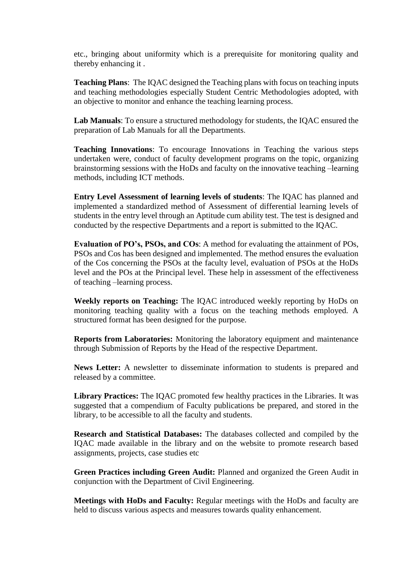etc., bringing about uniformity which is a prerequisite for monitoring quality and thereby enhancing it .

**Teaching Plans**: The IQAC designed the Teaching plans with focus on teaching inputs and teaching methodologies especially Student Centric Methodologies adopted, with an objective to monitor and enhance the teaching learning process.

**Lab Manuals**: To ensure a structured methodology for students, the IQAC ensured the preparation of Lab Manuals for all the Departments.

**Teaching Innovations**: To encourage Innovations in Teaching the various steps undertaken were, conduct of faculty development programs on the topic, organizing brainstorming sessions with the HoDs and faculty on the innovative teaching –learning methods, including ICT methods.

**Entry Level Assessment of learning levels of students**: The IQAC has planned and implemented a standardized method of Assessment of differential learning levels of students in the entry level through an Aptitude cum ability test. The test is designed and conducted by the respective Departments and a report is submitted to the IQAC.

**Evaluation of PO's, PSOs, and COs**: A method for evaluating the attainment of POs, PSOs and Cos has been designed and implemented. The method ensures the evaluation of the Cos concerning the PSOs at the faculty level, evaluation of PSOs at the HoDs level and the POs at the Principal level. These help in assessment of the effectiveness of teaching –learning process.

**Weekly reports on Teaching:** The IQAC introduced weekly reporting by HoDs on monitoring teaching quality with a focus on the teaching methods employed. A structured format has been designed for the purpose.

**Reports from Laboratories:** Monitoring the laboratory equipment and maintenance through Submission of Reports by the Head of the respective Department.

**News Letter:** A newsletter to disseminate information to students is prepared and released by a committee.

**Library Practices:** The IQAC promoted few healthy practices in the Libraries. It was suggested that a compendium of Faculty publications be prepared, and stored in the library, to be accessible to all the faculty and students.

**Research and Statistical Databases:** The databases collected and compiled by the IQAC made available in the library and on the website to promote research based assignments, projects, case studies etc

**Green Practices including Green Audit:** Planned and organized the Green Audit in conjunction with the Department of Civil Engineering.

**Meetings with HoDs and Faculty:** Regular meetings with the HoDs and faculty are held to discuss various aspects and measures towards quality enhancement.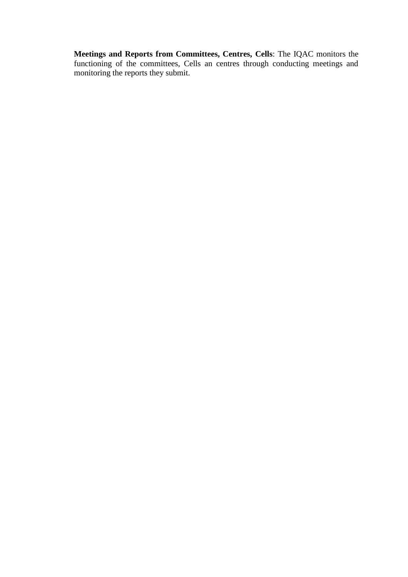**Meetings and Reports from Committees, Centres, Cells**: The IQAC monitors the functioning of the committees, Cells an centres through conducting meetings and monitoring the reports they submit.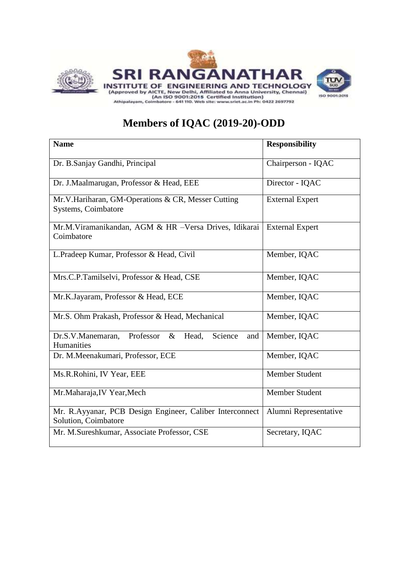

## **Members of IQAC (2019-20)-ODD**

| <b>Name</b>                                                                      | <b>Responsibility</b>  |
|----------------------------------------------------------------------------------|------------------------|
| Dr. B.Sanjay Gandhi, Principal                                                   | Chairperson - IQAC     |
| Dr. J.Maalmarugan, Professor & Head, EEE                                         | Director - IQAC        |
| Mr.V.Hariharan, GM-Operations & CR, Messer Cutting<br>Systems, Coimbatore        | <b>External Expert</b> |
| Mr.M.Viramanikandan, AGM & HR -Versa Drives, Idikarai<br>Coimbatore              | <b>External Expert</b> |
| L.Pradeep Kumar, Professor & Head, Civil                                         | Member, IQAC           |
| Mrs.C.P.Tamilselvi, Professor & Head, CSE                                        | Member, IQAC           |
| Mr.K.Jayaram, Professor & Head, ECE                                              | Member, IQAC           |
| Mr.S. Ohm Prakash, Professor & Head, Mechanical                                  | Member, IQAC           |
| Professor<br>Head,<br>Science<br>Dr.S.V.Manemaran,<br>$\&$<br>and<br>Humanities  | Member, IQAC           |
| Dr. M.Meenakumari, Professor, ECE                                                | Member, IQAC           |
| Ms.R.Rohini, IV Year, EEE                                                        | <b>Member Student</b>  |
| Mr.Maharaja, IV Year, Mech                                                       | Member Student         |
| Mr. R.Ayyanar, PCB Design Engineer, Caliber Interconnect<br>Solution, Coimbatore | Alumni Representative  |
| Mr. M.Sureshkumar, Associate Professor, CSE                                      | Secretary, IQAC        |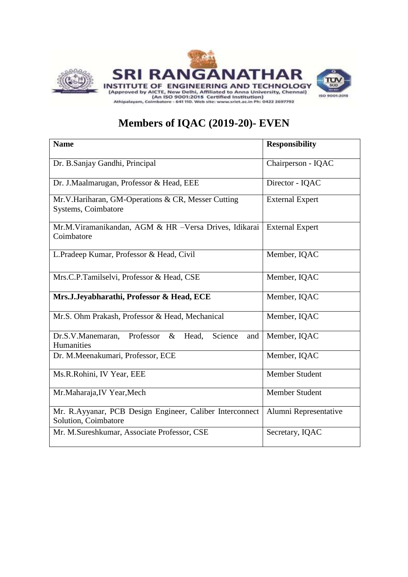

## **Members of IQAC (2019-20)- EVEN**

| <b>Name</b>                                                       | <b>Responsibility</b>  |
|-------------------------------------------------------------------|------------------------|
|                                                                   |                        |
|                                                                   |                        |
| Dr. B.Sanjay Gandhi, Principal                                    | Chairperson - IQAC     |
|                                                                   |                        |
| Dr. J.Maalmarugan, Professor & Head, EEE                          | Director - IQAC        |
| Mr.V.Hariharan, GM-Operations & CR, Messer Cutting                | <b>External Expert</b> |
| Systems, Coimbatore                                               |                        |
|                                                                   |                        |
| Mr.M.Viramanikandan, AGM & HR -Versa Drives, Idikarai             | <b>External Expert</b> |
| Coimbatore                                                        |                        |
|                                                                   |                        |
| L.Pradeep Kumar, Professor & Head, Civil                          | Member, IQAC           |
|                                                                   |                        |
| Mrs.C.P.Tamilselvi, Professor & Head, CSE                         | Member, IQAC           |
|                                                                   |                        |
| Mrs.J.Jeyabharathi, Professor & Head, ECE                         | Member, IQAC           |
|                                                                   |                        |
| Mr.S. Ohm Prakash, Professor & Head, Mechanical                   | Member, IQAC           |
|                                                                   |                        |
| Professor<br>Head,<br>Science<br>Dr.S.V.Manemaran,<br>$\&$<br>and | Member, IQAC           |
| Humanities                                                        |                        |
| Dr. M.Meenakumari, Professor, ECE                                 | Member, IQAC           |
|                                                                   |                        |
| Ms.R.Rohini, IV Year, EEE                                         | Member Student         |
|                                                                   |                        |
| Mr.Maharaja, IV Year, Mech                                        | Member Student         |
|                                                                   |                        |
| Mr. R.Ayyanar, PCB Design Engineer, Caliber Interconnect          | Alumni Representative  |
| Solution, Coimbatore                                              |                        |
| Mr. M.Sureshkumar, Associate Professor, CSE                       | Secretary, IQAC        |
|                                                                   |                        |